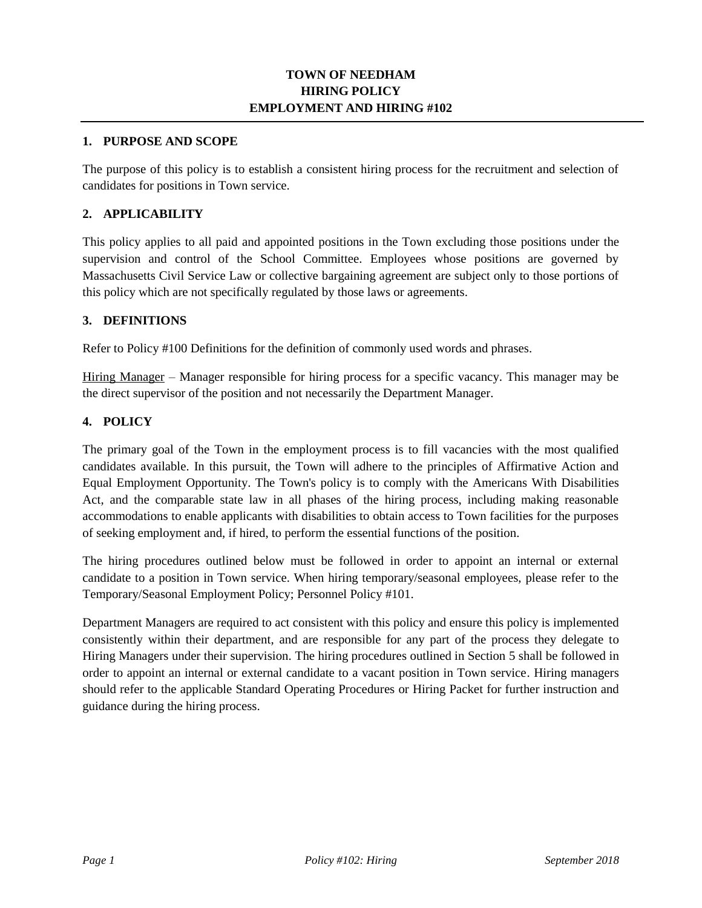## **TOWN OF NEEDHAM HIRING POLICY EMPLOYMENT AND HIRING #102**

#### **1. PURPOSE AND SCOPE**

The purpose of this policy is to establish a consistent hiring process for the recruitment and selection of candidates for positions in Town service.

## **2. APPLICABILITY**

This policy applies to all paid and appointed positions in the Town excluding those positions under the supervision and control of the School Committee. Employees whose positions are governed by Massachusetts Civil Service Law or collective bargaining agreement are subject only to those portions of this policy which are not specifically regulated by those laws or agreements.

### **3. DEFINITIONS**

Refer to Policy #100 Definitions for the definition of commonly used words and phrases.

Hiring Manager – Manager responsible for hiring process for a specific vacancy. This manager may be the direct supervisor of the position and not necessarily the Department Manager.

### **4. POLICY**

The primary goal of the Town in the employment process is to fill vacancies with the most qualified candidates available. In this pursuit, the Town will adhere to the principles of Affirmative Action and Equal Employment Opportunity. The Town's policy is to comply with the Americans With Disabilities Act, and the comparable state law in all phases of the hiring process, including making reasonable accommodations to enable applicants with disabilities to obtain access to Town facilities for the purposes of seeking employment and, if hired, to perform the essential functions of the position.

The hiring procedures outlined below must be followed in order to appoint an internal or external candidate to a position in Town service. When hiring temporary/seasonal employees, please refer to the Temporary/Seasonal Employment Policy; Personnel Policy #101.

Department Managers are required to act consistent with this policy and ensure this policy is implemented consistently within their department, and are responsible for any part of the process they delegate to Hiring Managers under their supervision. The hiring procedures outlined in Section 5 shall be followed in order to appoint an internal or external candidate to a vacant position in Town service. Hiring managers should refer to the applicable Standard Operating Procedures or Hiring Packet for further instruction and guidance during the hiring process.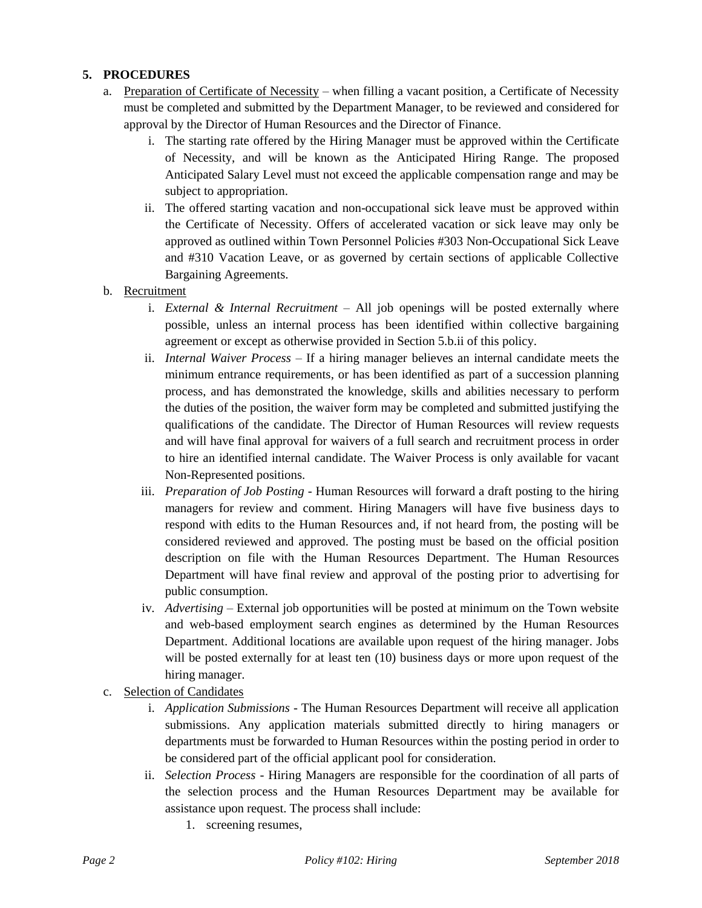# **5. PROCEDURES**

- a. Preparation of Certificate of Necessity when filling a vacant position, a Certificate of Necessity must be completed and submitted by the Department Manager, to be reviewed and considered for approval by the Director of Human Resources and the Director of Finance.
	- i. The starting rate offered by the Hiring Manager must be approved within the Certificate of Necessity, and will be known as the Anticipated Hiring Range. The proposed Anticipated Salary Level must not exceed the applicable compensation range and may be subject to appropriation.
	- ii. The offered starting vacation and non-occupational sick leave must be approved within the Certificate of Necessity. Offers of accelerated vacation or sick leave may only be approved as outlined within Town Personnel Policies #303 Non-Occupational Sick Leave and #310 Vacation Leave, or as governed by certain sections of applicable Collective Bargaining Agreements.
- b. Recruitment
	- i. *External & Internal Recruitment* All job openings will be posted externally where possible, unless an internal process has been identified within collective bargaining agreement or except as otherwise provided in Section 5.b.ii of this policy.
	- ii. *Internal Waiver Process* If a hiring manager believes an internal candidate meets the minimum entrance requirements, or has been identified as part of a succession planning process, and has demonstrated the knowledge, skills and abilities necessary to perform the duties of the position, the waiver form may be completed and submitted justifying the qualifications of the candidate. The Director of Human Resources will review requests and will have final approval for waivers of a full search and recruitment process in order to hire an identified internal candidate. The Waiver Process is only available for vacant Non-Represented positions.
	- iii. *Preparation of Job Posting* Human Resources will forward a draft posting to the hiring managers for review and comment. Hiring Managers will have five business days to respond with edits to the Human Resources and, if not heard from, the posting will be considered reviewed and approved. The posting must be based on the official position description on file with the Human Resources Department. The Human Resources Department will have final review and approval of the posting prior to advertising for public consumption.
	- iv. *Advertising* External job opportunities will be posted at minimum on the Town website and web-based employment search engines as determined by the Human Resources Department. Additional locations are available upon request of the hiring manager. Jobs will be posted externally for at least ten (10) business days or more upon request of the hiring manager.
- c. Selection of Candidates
	- i. *Application Submissions* The Human Resources Department will receive all application submissions. Any application materials submitted directly to hiring managers or departments must be forwarded to Human Resources within the posting period in order to be considered part of the official applicant pool for consideration.
	- ii. *Selection Process* Hiring Managers are responsible for the coordination of all parts of the selection process and the Human Resources Department may be available for assistance upon request. The process shall include:
		- 1. screening resumes,